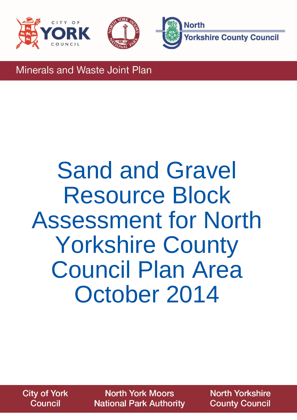





Minerals and Waste Joint Plan

## Sand and Gravel Resource Block Assessment for North Yorkshire County Council Plan Area October 2014

**City of York Council** 

**North York Moors National Park Authority** 

**North Yorkshire County Council**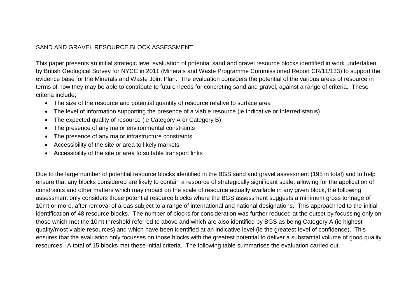## SAND AND GRAVEL RESOURCE BLOCK ASSESSMENT

This paper presents an initial strategic level evaluation of potential sand and gravel resource blocks identified in work undertaken by British Geological Survey for NYCC in 2011 (Minerals and Waste Programme Commissioned Report CR/11/133) to support the evidence base for the Minerals and Waste Joint Plan. The evaluation considers the potential of the various areas of resource in terms of how they may be able to contribute to future needs for concreting sand and gravel, against a range of criteria. These criteria include;

- The size of the resource and potential quantity of resource relative to surface area
- The level of information supporting the presence of a viable resource (ie Indicative or Inferred status)
- The expected quality of resource (ie Category A or Category B)
- The presence of any major environmental constraints
- The presence of any major infrastructure constraints
- Accessibility of the site or area to likely markets
- Accessibility of the site or area to suitable transport links

Due to the large number of potential resource blocks identified in the BGS sand and gravel assessment (195 in total) and to help ensure that any blocks considered are likely to contain a resource of strategically significant scale, allowing for the application of constraints and other matters which may impact on the scale of resource actually available in any given block, the following assessment only considers those potential resource blocks where the BGS assessment suggests a minimum gross tonnage of 10mt or more, after removal of areas subject to a range of international and national designations. This approach led to the initial identification of 48 resource blocks. The number of blocks for consideration was further reduced at the outset by focussing only on those which met the 10mt threshold referred to above and which are also identified by BGS as being Category A (ie highest quality/most viable resources) and which have been identified at an indicative level (ie the greatest level of confidence). This ensures that the evaluation only focusses on those blocks with the greatest potential to deliver a substantial volume of good quality resources. A total of 15 blocks met these initial criteria. The following table summarises the evaluation carried out.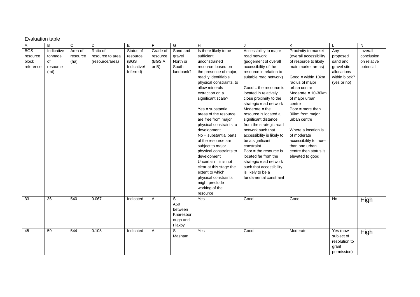| <b>Evaluation table</b>                      |                                                 |                             |                                                 |                                                           |                                            |                                                        |                                                                                                                                                                                                                                                                                                                                                                                                                                                                                                                                                                          |                                                                                                                                                                                                                                                                                                                                                                                                                                                                                                                                                                                                    |                                                                                                                                                                                                                                                                                                                                                                                                   |                                                                                           |                                                   |
|----------------------------------------------|-------------------------------------------------|-----------------------------|-------------------------------------------------|-----------------------------------------------------------|--------------------------------------------|--------------------------------------------------------|--------------------------------------------------------------------------------------------------------------------------------------------------------------------------------------------------------------------------------------------------------------------------------------------------------------------------------------------------------------------------------------------------------------------------------------------------------------------------------------------------------------------------------------------------------------------------|----------------------------------------------------------------------------------------------------------------------------------------------------------------------------------------------------------------------------------------------------------------------------------------------------------------------------------------------------------------------------------------------------------------------------------------------------------------------------------------------------------------------------------------------------------------------------------------------------|---------------------------------------------------------------------------------------------------------------------------------------------------------------------------------------------------------------------------------------------------------------------------------------------------------------------------------------------------------------------------------------------------|-------------------------------------------------------------------------------------------|---------------------------------------------------|
| $\mathsf{A}$                                 | B                                               | C                           | D                                               | Е                                                         | F                                          | G                                                      | H                                                                                                                                                                                                                                                                                                                                                                                                                                                                                                                                                                        |                                                                                                                                                                                                                                                                                                                                                                                                                                                                                                                                                                                                    | Κ                                                                                                                                                                                                                                                                                                                                                                                                 |                                                                                           | N                                                 |
| <b>BGS</b><br>resource<br>block<br>reference | Indicative<br>tonnage<br>of<br>resource<br>(mt) | Area of<br>resource<br>(ha) | Ratio of<br>resource to area<br>(resource/area) | Status of<br>resource<br>(BGS<br>Indicative/<br>Inferred) | Grade of<br>resource<br>(BGS A<br>or $B$ ) | Sand and<br>gravel<br>North or<br>South<br>landbank?   | Is there likely to be<br>sufficient<br>unconstrained<br>resource, based on<br>the presence of major,<br>readily identifiable<br>physical constraints, to<br>allow minerals<br>extraction on a<br>significant scale?<br>$Yes = substantial$<br>areas of the resource<br>are free from major<br>physical constraints to<br>development<br>$No = substantial parts$<br>of the resource are<br>subject to major<br>physical constraints to<br>development<br>Uncertain $=$ it is not<br>clear at this stage the<br>extent to which<br>physical constraints<br>might preclude | Accessibility to major<br>road network<br>(judgement of overall<br>accessibility of the<br>resource in relation to<br>suitable road network)<br>$Good = the resource is$<br>located in relatively<br>close proximity to the<br>strategic road network<br>Moderate $=$ the<br>resource is located a<br>significant distance<br>from the strategic road<br>network such that<br>accessibility is likely to<br>be a significant<br>constraint<br>Poor $=$ the resource is<br>located far from the<br>strategic road network<br>such that accessibility<br>is likely to be a<br>fundamental constraint | Proximity to market<br>(overall accessibility<br>of resource to likely<br>main market areas)<br>$Good = within 10km$<br>radius of major<br>urban centre<br>Moderate $= 10-30$ km<br>of major urban<br>centre<br>Poor = more than<br>30km from major<br>urban centre<br>Where a location is<br>of moderate<br>accessibility to more<br>than one urban<br>centre then status is<br>elevated to good | Any<br>proposed<br>sand and<br>gravel site<br>allocations<br>within block?<br>(yes or no) | overall<br>conclusion<br>on relative<br>potential |
|                                              |                                                 |                             |                                                 |                                                           |                                            |                                                        | working of the<br>resource                                                                                                                                                                                                                                                                                                                                                                                                                                                                                                                                               |                                                                                                                                                                                                                                                                                                                                                                                                                                                                                                                                                                                                    |                                                                                                                                                                                                                                                                                                                                                                                                   |                                                                                           |                                                   |
| 33                                           | 36                                              | 540                         | 0.067                                           | Indicated                                                 | Α                                          | S<br>A59<br>between<br>Knaresbor<br>ough and<br>Flaxby | Yes                                                                                                                                                                                                                                                                                                                                                                                                                                                                                                                                                                      | Good                                                                                                                                                                                                                                                                                                                                                                                                                                                                                                                                                                                               | Good                                                                                                                                                                                                                                                                                                                                                                                              | $\overline{N}$                                                                            | High                                              |
| 45                                           | 59                                              | 544                         | 0.108                                           | Indicated                                                 | A                                          | S<br>Masham                                            | Yes                                                                                                                                                                                                                                                                                                                                                                                                                                                                                                                                                                      | Good                                                                                                                                                                                                                                                                                                                                                                                                                                                                                                                                                                                               | Moderate                                                                                                                                                                                                                                                                                                                                                                                          | Yes (now<br>subject of<br>resolution to<br>grant<br>permission)                           | High                                              |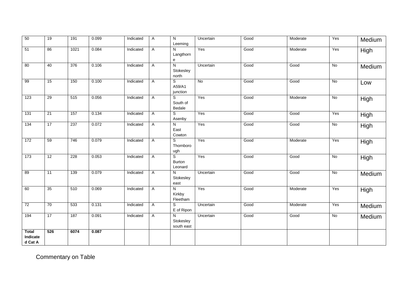| 50                                  | 19              | 191  | 0.099 | Indicated | A            | $\overline{N}$<br>Leeming                  | Uncertain | Good | Moderate | Yes            | Medium      |
|-------------------------------------|-----------------|------|-------|-----------|--------------|--------------------------------------------|-----------|------|----------|----------------|-------------|
| 51                                  | 86              | 1021 | 0.084 | Indicated | A            | $\mathsf{N}$<br>Langthorn<br>${\bf e}$     | Yes       | Good | Moderate | Yes            | <b>High</b> |
| 80                                  | 40              | 376  | 0.106 | Indicated | A            | $\overline{N}$<br>Stokesley<br>north       | Uncertain | Good | Good     | No             | Medium      |
| 99                                  | 15              | 150  | 0.100 | Indicated | $\mathsf{A}$ | S<br>A59/A1<br>junction                    | <b>No</b> | Good | Good     | No             | Low         |
| 123                                 | 29              | 515  | 0.056 | Indicated | A            | S<br>South of<br>Bedale                    | Yes       | Good | Moderate | $\overline{N}$ | High        |
| 131                                 | $\overline{21}$ | 157  | 0.134 | Indicated | A            | S<br>Asenby                                | Yes       | Good | Good     | Yes            | <b>High</b> |
| 134                                 | 17              | 237  | 0.072 | Indicated | A            | $\overline{\mathsf{N}}$<br>East<br>Cowton  | Yes       | Good | Good     | No             | High        |
| 172                                 | 59              | 746  | 0.079 | Indicated | A            | S<br>Thornboro<br>ugh                      | Yes       | Good | Moderate | Yes            | High        |
| 173                                 | 12              | 228  | 0.053 | Indicated | A            | $\overline{s}$<br><b>Burton</b><br>Leonard | Yes       | Good | Good     | No             | High        |
| 89                                  | 11              | 139  | 0.079 | Indicated | A            | $\mathsf{N}$<br>Stokesley<br>east          | Uncertain | Good | Good     | No             | Medium      |
| 60                                  | 35              | 510  | 0.069 | Indicated | A            | $\overline{N}$<br>Kirkby<br>Fleetham       | Yes       | Good | Moderate | Yes            | High        |
| 72                                  | 70              | 533  | 0.131 | Indicated | A            | S<br>E of Ripon                            | Uncertain | Good | Moderate | Yes            | Medium      |
| 194                                 | 17              | 187  | 0.091 | Indicated | $\mathsf{A}$ | N<br>Stokesley<br>south east               | Uncertain | Good | Good     | $\overline{N}$ | Medium      |
| <b>Total</b><br>Indicate<br>d Cat A | 526             | 6074 | 0.087 |           |              |                                            |           |      |          |                |             |

Commentary on Table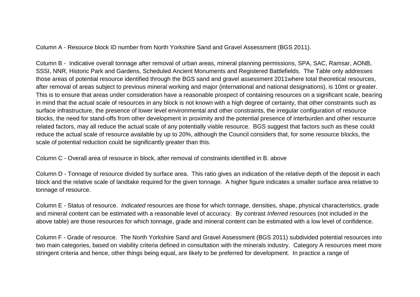Column A - Resource block ID number from North Yorkshire Sand and Gravel Assessment (BGS 2011).

Column B - Indicative overall tonnage after removal of urban areas, mineral planning permissions, SPA, SAC, Ramsar, AONB, SSSI, NNR, Historic Park and Gardens, Scheduled Ancient Monuments and Registered Battlefields. The Table only addresses those areas of potential resource identified through the BGS sand and gravel assessment 2011where total theoretical resources, after removal of areas subject to previous mineral working and major (international and national designations), is 10mt or greater. This is to ensure that areas under consideration have a reasonable prospect of containing resources on a significant scale, bearing in mind that the actual scale of resources in any block is not known with a high degree of certainty, that other constraints such as surface infrastructure, the presence of lower level environmental and other constraints, the irregular configuration of resource blocks, the need for stand-offs from other development in proximity and the potential presence of interburden and other resource related factors, may all reduce the actual scale of any potentially viable resource. BGS suggest that factors such as these could reduce the actual scale of resource available by up to 20%, although the Council considers that, for some resource blocks, the scale of potential reduction could be significantly greater than this.

Column C - Overall area of resource in block, after removal of constraints identified in B. above

Column D - Tonnage of resource divided by surface area. This ratio gives an indication of the relative depth of the deposit in each block and the relative scale of landtake required for the given tonnage. A higher figure indicates a smaller surface area relative to tonnage of resource.

Column E - Status of resource. *Indicated* resources are those for which tonnage, densities, shape, physical characteristics, grade and mineral content can be estimated with a reasonable level of accuracy. By contrast *Inferred* resources (not included in the above table) are those resources for which tonnage, grade and mineral content can be estimated with a low level of confidence.

Column F - Grade of resource. The North Yorkshire Sand and Gravel Assessment (BGS 2011) subdivided potential resources into two main categories, based on viability criteria defined in consultation with the minerals industry. Category A resources meet more stringent criteria and hence, other things being equal, are likely to be preferred for development. In practice a range of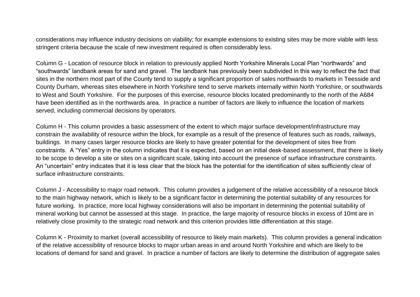considerations may influence industry decisions on viability; for example extensions to existing sites may be more viable with less stringent criteria because the scale of new investment required is often considerably less.

Column G - Location of resource block in relation to previously applied North Yorkshire Minerals Local Plan "northwards" and "southwards" landbank areas for sand and gravel. The landbank has previously been subdivided in this way to reflect the fact that sites in the northern most part of the County tend to supply a significant proportion of sales northwards to markets in Teesside and County Durham, whereas sites elsewhere in North Yorkshire tend to serve markets internally within North Yorkshire, or southwards to West and South Yorkshire. For the purposes of this exercise, resource blocks located predominantly to the north of the A684 have been identified as in the northwards area. In practice a number of factors are likely to influence the location of markets served, including commercial decisions by operators.

Column H - This column provides a basic assessment of the extent to which major surface development/infrastructure may constrain the availability of resource within the block, for example as a result of the presence of features such as roads, railways, buildings. In many cases larger resource blocks are likely to have greater potential for the development of sites free from constraints. A "Yes" entry in the column indicates that it is expected, based on an initial desk-based assessment, that there is likely to be scope to develop a site or sites on a significant scale, taking into account the presence of surface infrastructure constraints. An "uncertain" entry indicates that it is less clear that the block has the potential for the identification of sites sufficiently clear of surface infrastructure constraints.

Column J - Accessibility to major road network. This column provides a judgement of the relative accessibility of a resource block to the main highway network, which is likely to be a significant factor in determining the potential suitability of any resources for future working. In practice, more local highway considerations will also be important in determining the potential suitability of mineral working but cannot be assessed at this stage. In practice, the large majority of resource blocks in excess of 10mt are in relatively close proximity to the strategic road network and this criterion provides little differentiation at this stage.

Column K - Proximity to market (overall accessibility of resource to likely main markets). This column provides a general indication of the relative accessibility of resource blocks to major urban areas in and around North Yorkshire and which are likely to be locations of demand for sand and gravel. In practice a number of factors are likely to determine the distribution of aggregate sales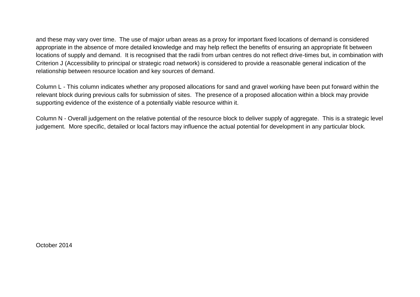and these may vary over time. The use of major urban areas as a proxy for important fixed locations of demand is considered appropriate in the absence of more detailed knowledge and may help reflect the benefits of ensuring an appropriate fit between locations of supply and demand. It is recognised that the radii from urban centres do not reflect drive-times but, in combination with Criterion J (Accessibility to principal or strategic road network) is considered to provide a reasonable general indication of the relationship between resource location and key sources of demand.

Column L - This column indicates whether any proposed allocations for sand and gravel working have been put forward within the relevant block during previous calls for submission of sites. The presence of a proposed allocation within a block may provide supporting evidence of the existence of a potentially viable resource within it.

Column N - Overall judgement on the relative potential of the resource block to deliver supply of aggregate. This is a strategic level judgement. More specific, detailed or local factors may influence the actual potential for development in any particular block.

October 2014